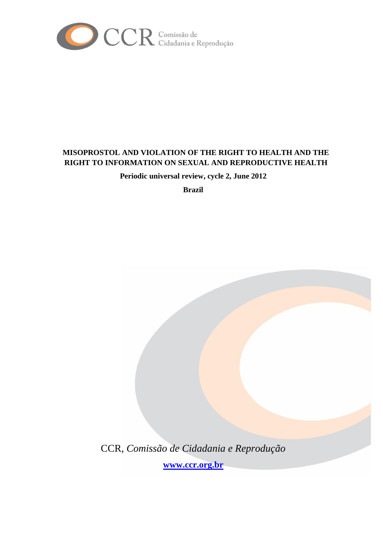

# **MISOPROSTOL AND VIOLATION OF THE RIGHT TO HEALTH AND THE RIGHT TO INFORMATION ON SEXUAL AND REPRODUCTIVE HEALTH**

**Periodic universal review, cycle 2, June 2012**

**Brazil**

CCR, *Comissão de Cidadania e Reprodução* **[www.ccr.org.br](http://www.ccr.org.br/)**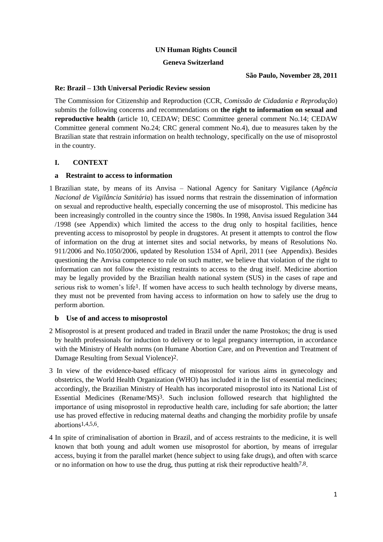## **UN Human Rights Council**

#### **Geneva Switzerland**

**São Paulo, November 28, 2011**

#### **Re: Brazil – 13th Universal Periodic Review session**

The Commission for Citizenship and Reproduction (CCR, *Comissão de Cidadania e Reprodução*) submits the following concerns and recommendations on **the right to information on sexual and reproductive health** (article 10, CEDAW; DESC Committee general comment No.14; CEDAW Committee general comment No.24; CRC general comment No.4), due to measures taken by the Brazilian state that restrain information on health technology, specifically on the use of misoprostol in the country.

## **I. CONTEXT**

## **a Restraint to access to information**

1 Brazilian state, by means of its Anvisa – National Agency for Sanitary Vigilance (*Agência Nacional de Vigilância Sanitária*) has issued norms that restrain the dissemination of information on sexual and reproductive health, especially concerning the use of misoprostol. This medicine has been increasingly controlled in the country since the 1980s. In 1998, Anvisa issued Regulation 344 /1998 (see Appendix) which limited the access to the drug only to hospital facilities, hence preventing access to misoprostol by people in drugstores. At present it attempts to control the flow of information on the drug at internet sites and social networks, by means of Resolutions No. 911/2006 and No.1050/2006, updated by Resolution 1534 of April, 2011 (see Appendix). Besides questioning the Anvisa competence to rule on such matter, we believe that violation of the right to information can not follow the existing restraints to access to the drug itself. Medicine abortion may be legally provided by the Brazilian health national system (SUS) in the cases of rape and serious risk to women's life1. If women have access to such health technology by diverse means, they must not be prevented from having access to information on how to safely use the drug to perform abortion.

#### **b Use of and access to misoprostol**

- 2 Misoprostol is at present produced and traded in Brazil under the name Prostokos; the drug is used by health professionals for induction to delivery or to legal pregnancy interruption, in accordance with the Ministry of Health norms (on Humane Abortion Care, and on Prevention and Treatment of Damage Resulting from Sexual Violence)2.
- 3 In view of the evidence-based efficacy of misoprostol for various aims in gynecology and obstetrics, the World Health Organization (WHO) has included it in the list of essential medicines; accordingly, the Brazilian Ministry of Health has incorporated misoprostol into its National List of Essential Medicines (Rename/MS)3. Such inclusion followed research that highlighted the importance of using misoprostol in reproductive health care, including for safe abortion; the latter use has proved effective in reducing maternal deaths and changing the morbidity profile by unsafe abortions1,4,5,6.
- 4 In spite of criminalisation of abortion in Brazil, and of access restraints to the medicine, it is well known that both young and adult women use misoprostol for abortion, by means of irregular access, buying it from the parallel market (hence subject to using fake drugs), and often with scarce or no information on how to use the drug, thus putting at risk their reproductive health7,8.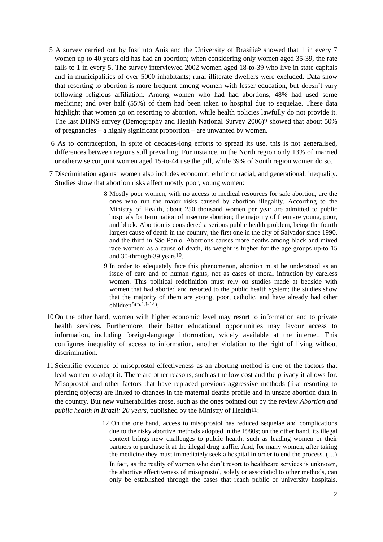- 5 A survey carried out by Instituto Anis and the University of Brasília5 showed that 1 in every 7 women up to 40 years old has had an abortion; when considering only women aged 35-39, the rate falls to 1 in every 5. The survey interviewed 2002 women aged 18-to-39 who live in state capitals and in municipalities of over 5000 inhabitants; rural illiterate dwellers were excluded. Data show that resorting to abortion is more frequent among women with lesser education, but doesn't vary following religious affiliation. Among women who had had abortions, 48% had used some medicine; and over half (55%) of them had been taken to hospital due to sequelae. These data highlight that women go on resorting to abortion, while health policies lawfully do not provide it. The last DHNS survey (Demography and Health National Survey 2006)9 showed that about 50% of pregnancies – a highly significant proportion – are unwanted by women.
- 6 As to contraception, in spite of decades-long efforts to spread its use, this is not generalised, differences between regions still prevailing. For instance, in the North region only 13% of married or otherwise conjoint women aged 15-to-44 use the pill, while 39% of South region women do so.
- 7 Discrimination against women also includes economic, ethnic or racial, and generational, inequality. Studies show that abortion risks affect mostly poor, young women:
	- 8 Mostly poor women, with no access to medical resources for safe abortion, are the ones who run the major risks caused by abortion illegality. According to the Ministry of Health, about 250 thousand women per year are admitted to public hospitals for termination of insecure abortion; the majority of them are young, poor, and black. Abortion is considered a serious public health problem, being the fourth largest cause of death in the country, the first one in the city of Salvador since 1990, and the third in São Paulo. Abortions causes more deaths among black and mixed race women; as a cause of death, its weight is higher for the age groups up-to 15 and 30-through-39 years10.
	- 9 In order to adequately face this phenomenon, abortion must be understood as an issue of care and of human rights, not as cases of moral infraction by careless women. This political redefinition must rely on studies made at bedside with women that had aborted and resorted to the public health system; the studies show that the majority of them are young, poor, catholic, and have already had other children $5(p.13-14)$ .
- 10 On the other hand, women with higher economic level may resort to information and to private health services. Furthermore, their better educational opportunities may favour access to information, including foreign-language information, widely available at the internet. This configures inequality of access to information, another violation to the right of living without discrimination.
- 11 Scientific evidence of misoprostol effectiveness as an aborting method is one of the factors that lead women to adopt it. There are other reasons, such as the low cost and the privacy it allows for. Misoprostol and other factors that have replaced previous aggressive methods (like resorting to piercing objects) are linked to changes in the maternal deaths profile and in unsafe abortion data in the country. But new vulnerabilities arose, such as the ones pointed out by the review *Abortion and public health in Brazil: 20 years, published by the Ministry of Health<sup>11</sup>:* 
	- 12 On the one hand, access to misoprostol has reduced sequelae and complications due to the risky abortive methods adopted in the 1980s; on the other hand, its illegal context brings new challenges to public health, such as leading women or their partners to purchase it at the illegal drug traffic. And, for many women, after taking the medicine they must immediately seek a hospital in order to end the process.  $(\ldots)$ In fact, as the reality of women who don't resort to healthcare services is unknown, the abortive effectiveness of misoprostol, solely or associated to other methods, can only be established through the cases that reach public or university hospitals.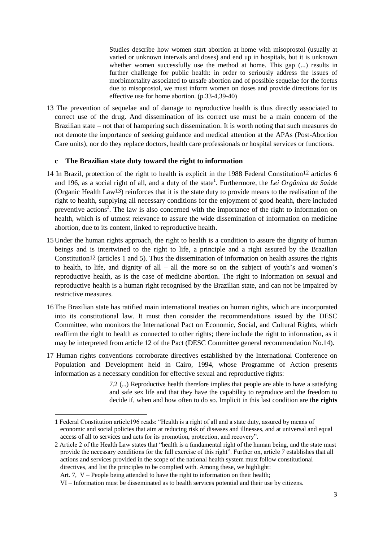Studies describe how women start abortion at home with misoprostol (usually at varied or unknown intervals and doses) and end up in hospitals, but it is unknown whether women successfully use the method at home. This gap (...) results in further challenge for public health: in order to seriously address the issues of morbimortality associated to unsafe abortion and of possible sequelae for the foetus due to misoprostol, we must inform women on doses and provide directions for its effective use for home abortion. (p.33-4,39-40)

13 The prevention of sequelae and of damage to reproductive health is thus directly associated to correct use of the drug. And dissemination of its correct use must be a main concern of the Brazilian state – not that of hampering such dissemination. It is worth noting that such measures do not demote the importance of seeking guidance and medical attention at the APAs (Post-Abortion Care units), nor do they replace doctors, health care professionals or hospital services or functions.

#### **c The Brazilian state duty toward the right to information**

- 14 In Brazil, protection of the right to health is explicit in the 1988 Federal Constitution<sup>12</sup> articles 6 and 196, as a social right of all, and a duty of the state<sup>1</sup>. Furthermore, the Lei Orgânica da Saúde (Organic Health Law13) reinforces that it is the state duty to provide means to the realisation of the right to health, supplying all necessary conditions for the enjoyment of good health, there included preventive actions<sup>2</sup>. The law is also concerned with the importance of the right to information on health, which is of utmost relevance to assure the wide dissemination of information on medicine abortion, due to its content, linked to reproductive health.
- 15 Under the human rights approach, the right to health is a condition to assure the dignity of human beings and is intertwined to the right to life, a principle and a right assured by the Brazilian Constitution12 (articles 1 and 5). Thus the dissemination of information on health assures the rights to health, to life, and dignity of all – all the more so on the subject of youth's and women's reproductive health, as is the case of medicine abortion. The right to information on sexual and reproductive health is a human right recognised by the Brazilian state, and can not be impaired by restrictive measures.
- 16The Brazilian state has ratified main international treaties on human rights, which are incorporated into its constitutional law. It must then consider the recommendations issued by the DESC Committee, who monitors the International Pact on Economic, Social, and Cultural Rights, which reaffirm the right to health as connected to other rights; there include the right to information, as it may be interpreted from article 12 of the Pact (DESC Committee general recommendation No.14).
- 17 Human rights conventions corroborate directives established by the International Conference on Population and Development held in Cairo, 1994, whose Programme of Action presents information as a necessary condition for effective sexual and reproductive rights:

7.2 (...) Reproductive health therefore implies that people are able to have a satisfying and safe sex life and that they have the capability to reproduce and the freedom to decide if, when and how often to do so. Implicit in this last condition are t**he rights** 

Art. 7, V – People being attended to have the right to information on their health;

**<sup>.</sup>** 1 Federal Constitution article196 reads: "Health is a right of all and a state duty, assured by means of economic and social policies that aim at reducing risk of diseases and illnesses, and at universal and equal access of all to services and acts for its promotion, protection, and recovery".

<sup>2</sup> Article 2 of the Health Law states that "health is a fundamental right of the human being, and the state must provide the necessary conditions for the full exercise of this right". Further on, article 7 establishes that all actions and services provided in the scope of the national health system must follow constitutional directives, and list the principles to be complied with. Among these, we highlight:

VI – Information must be disseminated as to health services potential and their use by citizens.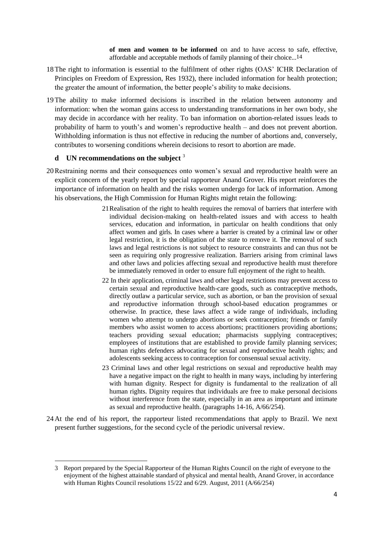**of men and women to be informed** on and to have access to safe, effective, affordable and acceptable methods of family planning of their choice...14

- 18The right to information is essential to the fulfilment of other rights (OAS' ICHR Declaration of Principles on Freedom of Expression, Res 1932), there included information for health protection; the greater the amount of information, the better people's ability to make decisions.
- 19The ability to make informed decisions is inscribed in the relation between autonomy and information: when the woman gains access to understanding transformations in her own body, she may decide in accordance with her reality. To ban information on abortion-related issues leads to probability of harm to youth's and women's reproductive health – and does not prevent abortion. Withholding information is thus not effective in reducing the number of abortions and, conversely, contributes to worsening conditions wherein decisions to resort to abortion are made.

## **d UN recommendations on the subject** <sup>3</sup>

**.** 

- 20Restraining norms and their consequences onto women's sexual and reproductive health were an explicit concern of the yearly report by special rapporteur Anand Grover. His report reinforces the importance of information on health and the risks women undergo for lack of information. Among his observations, the High Commission for Human Rights might retain the following:
	- 21Realisation of the right to health requires the removal of barriers that interfere with individual decision-making on health-related issues and with access to health services, education and information, in particular on health conditions that only affect women and girls. In cases where a barrier is created by a criminal law or other legal restriction, it is the obligation of the state to remove it. The removal of such laws and legal restrictions is not subject to resource constraints and can thus not be seen as requiring only progressive realization. Barriers arising from criminal laws and other laws and policies affecting sexual and reproductive health must therefore be immediately removed in order to ensure full enjoyment of the right to health.
	- 22 In their application, criminal laws and other legal restrictions may prevent access to certain sexual and reproductive health-care goods, such as contraceptive methods, directly outlaw a particular service, such as abortion, or ban the provision of sexual and reproductive information through school-based education programmes or otherwise. In practice, these laws affect a wide range of individuals, including women who attempt to undergo abortions or seek contraception; friends or family members who assist women to access abortions; practitioners providing abortions; teachers providing sexual education; pharmacists supplying contraceptives; employees of institutions that are established to provide family planning services; human rights defenders advocating for sexual and reproductive health rights; and adolescents seeking access to contraception for consensual sexual activity.
	- 23 Criminal laws and other legal restrictions on sexual and reproductive health may have a negative impact on the right to health in many ways, including by interfering with human dignity. Respect for dignity is fundamental to the realization of all human rights. Dignity requires that individuals are free to make personal decisions without interference from the state, especially in an area as important and intimate as sexual and reproductive health. (paragraphs 14-16, A/66/254).
- 24 At the end of his report, the rapporteur listed recommendations that apply to Brazil. We next present further suggestions, for the second cycle of the periodic universal review.

<sup>3</sup> Report prepared by the Special Rapporteur of the Human Rights Council on the right of everyone to the enjoyment of the highest attainable standard of physical and mental health, Anand Grover, in accordance with Human Rights Council resolutions 15/22 and 6/29. August, 2011 (A/66/254)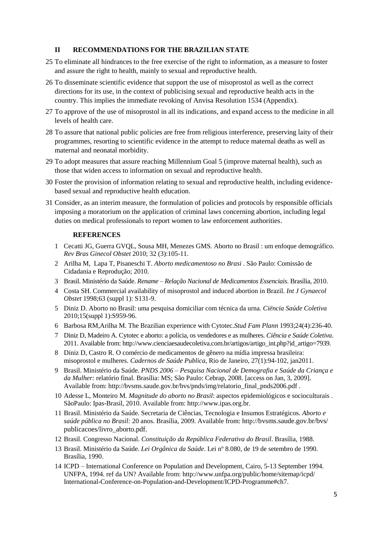#### **II RECOMMENDATIONS FOR THE BRAZILIAN STATE**

- 25 To eliminate all hindrances to the free exercise of the right to information, as a measure to foster and assure the right to health, mainly to sexual and reproductive health.
- 26 To disseminate scientific evidence that support the use of misoprostol as well as the correct directions for its use, in the context of publicising sexual and reproductive health acts in the country. This implies the immediate revoking of Anvisa Resolution 1534 (Appendix).
- 27 To approve of the use of misoprostol in all its indications, and expand access to the medicine in all levels of health care.
- 28 To assure that national public policies are free from religious interference, preserving laity of their programmes, resorting to scientific evidence in the attempt to reduce maternal deaths as well as maternal and neonatal morbidity.
- 29 To adopt measures that assure reaching Millennium Goal 5 (improve maternal health), such as those that widen access to information on sexual and reproductive health.
- 30 Foster the provision of information relating to sexual and reproductive health, including evidencebased sexual and reproductive health education.
- 31 Consider, as an interim measure, the formulation of policies and protocols by responsible officials imposing a moratorium on the application of criminal laws concerning abortion, including legal duties on medical professionals to report women to law enforcement authorities.

#### **REFERENCES**

- 1 Cecatti JG, Guerra GVQL, Sousa MH, Menezes GMS. Aborto no Brasil : um enfoque demográfico. *Rev Bras Ginecol Obstet* 2010; 32 (3):105-11.
- 2 Arilha M, Lapa T, Pisaneschi T. *Aborto medicamentoso no Brasi* . São Paulo: Comissão de Cidadania e Reprodução; 2010.
- 3 Brasil. Ministério da Saúde. *Rename – Relação Nacional de Medicamentos Essenciais*. Brasília, 2010.
- 4 Costa SH. Commercial availability of misoprostol and induced abortion in Brazil. *Int J Gynaecol Obstet* 1998;63 (suppl 1): S131-9.
- 5 Diniz D. Aborto no Brasil: uma pesquisa domiciliar com técnica da urna. *Ciëncia Saúde Coletiva* 2010;15(suppl 1):S959-96.
- 6 Barbosa RM,Arilha M. The Brazilian experience with Cytotec.*Stud Fam Plann* 1993;24(4):236-40.
- 7 Diniz D, Madeiro A. Cytotec e aborto: a polícia, os vendedores e as mulheres. *Ciência e Saúde Coletiva*. 2011. Available from[: http://www.cienciaesaudecoletiva.com.br/artigos/artigo\\_int.php?id\\_a](http://www.cienciaesaudecoletiva.com.br/artigos/artigo_int.php?id_)rtigo=7939.
- 8 Diniz D, Castro R. O comércio de medicamentos de gênero na mídia impressa brasileira: misoprostol e mulheres. *Cadernos de Saúde Publica*, Rio de Janeiro, 27(1):94-102, jan2011.
- 9 Brasil. Ministério da Saúde. *PNDS 2006 – Pesquisa Nacional de Demografia e Saúde da Criança e da Mulher:* relatório final. Brasília: MS; São Paulo: Cebrap, 2008. [access on Jan, 3, 2009]. Available from: [http://bvsms.saude.gov.br/bvs/pnds/img/relatorio\\_final\\_pnds2006.pdf](http://bvsms.saude.gov.br/bvs/pnds/img/relatorio_final_pnds2006.pdf) .
- 10 Adesse L, Monteiro M. *Magnitude do aborto no Brasil*: aspectos epidemiológicos e socioculturais . SãoPaulo: Ipas-Brasil, 2010. Available from: http:/[/www.ipas.org.br.](http://www.ipas.org.br/)
- 11 Brasil. Ministério da Saúde. Secretaria de Ciências, Tecnologia e Insumos Estratégicos. *Aborto e saúde pública no Brasil:* 20 anos. Brasília, 2009. Available from: http://[bvsms.saude.gov.br/bvs/](http://bvsms.saude.gov.br/bvs/) publicacoes/livro\_aborto.pdf.
- 12 Brasil. Congresso Nacional. *Constituição da República Federativa do Brasil*. Brasília, 1988.
- 13 Brasil. Ministério da Saúde. *Lei Orgânica da Saúde*. Lei nº 8.080, de 19 de setembro de 1990. Brasília, 1990.
- 14 ICPD International Conference on Population and Development, Cairo, 5-13 September 1994. UNFPA, 1994. ref da UN? Available from: [http://www.unfpa.org/public/home/sitemap/icpd/](http://www.unfpa.org/public/home/sitemap/icpd/%20International-Conference-on-Population-and-Development/ICPD-Programme#ch7)  [International-Conference-on-Population-and-Development/ICPD-Programme#ch7.](http://www.unfpa.org/public/home/sitemap/icpd/%20International-Conference-on-Population-and-Development/ICPD-Programme#ch7)